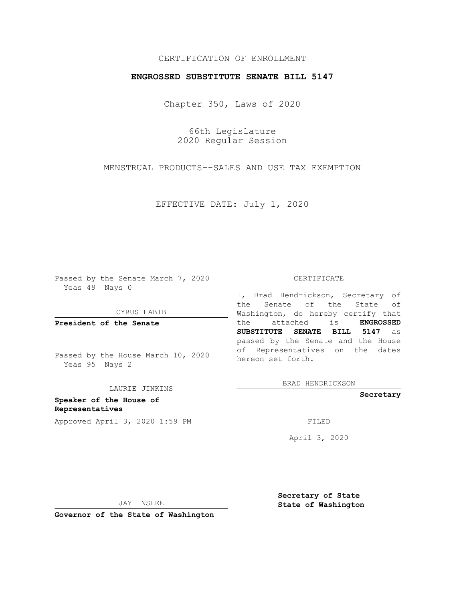# CERTIFICATION OF ENROLLMENT

### **ENGROSSED SUBSTITUTE SENATE BILL 5147**

Chapter 350, Laws of 2020

66th Legislature 2020 Regular Session

MENSTRUAL PRODUCTS--SALES AND USE TAX EXEMPTION

EFFECTIVE DATE: July 1, 2020

Passed by the Senate March 7, 2020 Yeas 49 Nays 0

CYRUS HABIB

**President of the Senate**

Passed by the House March 10, 2020 Yeas 95 Nays 2

LAURIE JINKINS

**Speaker of the House of Representatives** Approved April 3, 2020 1:59 PM

#### CERTIFICATE

I, Brad Hendrickson, Secretary of the Senate of the State of Washington, do hereby certify that the attached is **ENGROSSED SUBSTITUTE SENATE BILL 5147** as passed by the Senate and the House of Representatives on the dates hereon set forth.

BRAD HENDRICKSON

**Secretary**

April 3, 2020

JAY INSLEE

**Secretary of State State of Washington**

**Governor of the State of Washington**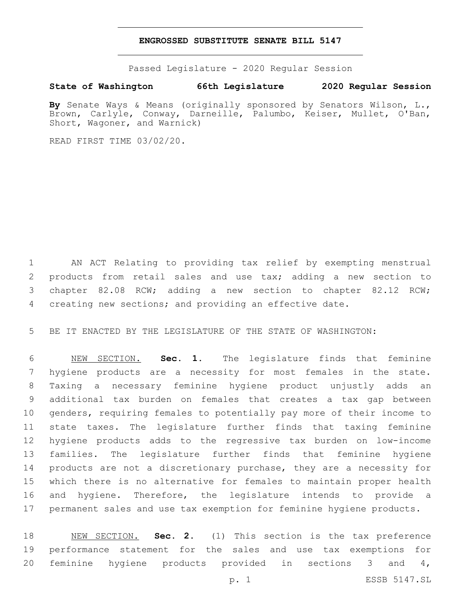### **ENGROSSED SUBSTITUTE SENATE BILL 5147**

Passed Legislature - 2020 Regular Session

## **State of Washington 66th Legislature 2020 Regular Session**

**By** Senate Ways & Means (originally sponsored by Senators Wilson, L., Brown, Carlyle, Conway, Darneille, Palumbo, Keiser, Mullet, O'Ban, Short, Wagoner, and Warnick)

READ FIRST TIME 03/02/20.

 AN ACT Relating to providing tax relief by exempting menstrual products from retail sales and use tax; adding a new section to chapter 82.08 RCW; adding a new section to chapter 82.12 RCW; creating new sections; and providing an effective date.

BE IT ENACTED BY THE LEGISLATURE OF THE STATE OF WASHINGTON:

 NEW SECTION. **Sec. 1.** The legislature finds that feminine hygiene products are a necessity for most females in the state. Taxing a necessary feminine hygiene product unjustly adds an additional tax burden on females that creates a tax gap between genders, requiring females to potentially pay more of their income to state taxes. The legislature further finds that taxing feminine hygiene products adds to the regressive tax burden on low-income families. The legislature further finds that feminine hygiene products are not a discretionary purchase, they are a necessity for which there is no alternative for females to maintain proper health and hygiene. Therefore, the legislature intends to provide a permanent sales and use tax exemption for feminine hygiene products.

 NEW SECTION. **Sec. 2.** (1) This section is the tax preference performance statement for the sales and use tax exemptions for feminine hygiene products provided in sections 3 and 4,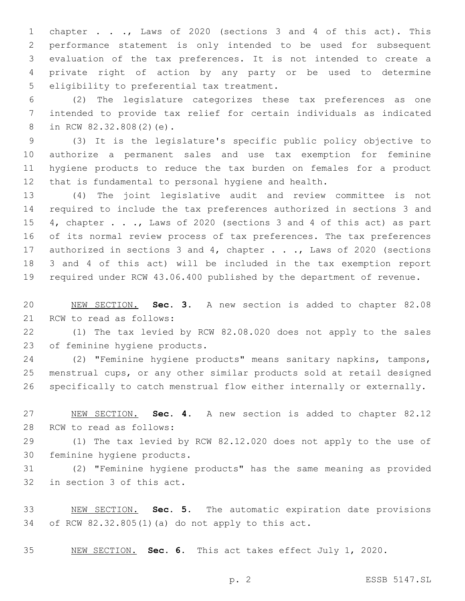chapter . . ., Laws of 2020 (sections 3 and 4 of this act). This performance statement is only intended to be used for subsequent evaluation of the tax preferences. It is not intended to create a private right of action by any party or be used to determine 5 eligibility to preferential tax treatment.

 (2) The legislature categorizes these tax preferences as one intended to provide tax relief for certain individuals as indicated 8 in RCW 82.32.808(2)(e).

 (3) It is the legislature's specific public policy objective to authorize a permanent sales and use tax exemption for feminine hygiene products to reduce the tax burden on females for a product that is fundamental to personal hygiene and health.

 (4) The joint legislative audit and review committee is not required to include the tax preferences authorized in sections 3 and 15 4, chapter . . ., Laws of 2020 (sections 3 and 4 of this act) as part of its normal review process of tax preferences. The tax preferences 17 authorized in sections 3 and 4, chapter . . ., Laws of 2020 (sections 3 and 4 of this act) will be included in the tax exemption report required under RCW 43.06.400 published by the department of revenue.

 NEW SECTION. **Sec. 3.** A new section is added to chapter 82.08 21 RCW to read as follows:

 (1) The tax levied by RCW 82.08.020 does not apply to the sales 23 of feminine hygiene products.

 (2) "Feminine hygiene products" means sanitary napkins, tampons, menstrual cups, or any other similar products sold at retail designed specifically to catch menstrual flow either internally or externally.

 NEW SECTION. **Sec. 4.** A new section is added to chapter 82.12 28 RCW to read as follows:

 (1) The tax levied by RCW 82.12.020 does not apply to the use of 30 feminine hygiene products.

 (2) "Feminine hygiene products" has the same meaning as provided 32 in section 3 of this act.

 NEW SECTION. **Sec. 5.** The automatic expiration date provisions of RCW 82.32.805(1)(a) do not apply to this act.

NEW SECTION. **Sec. 6.** This act takes effect July 1, 2020.

p. 2 ESSB 5147.SL